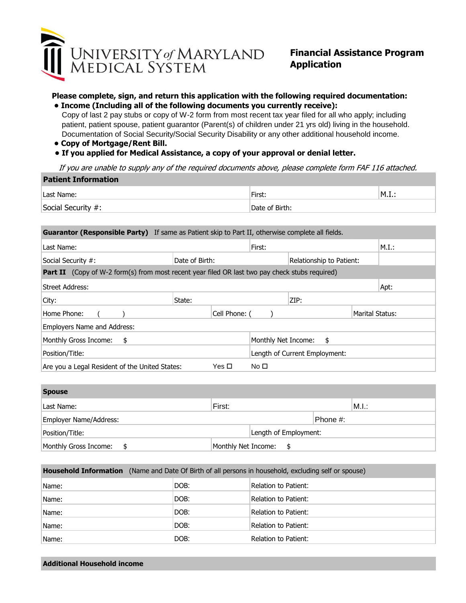

## **Financial Assistance Program Application**

## **Please complete, sign, and return this application with the following required documentation:**

 Documentation of Social Security/Social Security Disability or any other additional household income.  **• Income (Including all of the following documents you currently receive):** Copy of last 2 pay stubs or copy of W-2 form from most recent tax year filed for all who apply; including patient, patient spouse, patient guarantor (Parent(s) of children under 21 yrs old) living in the household.

- **Copy of Mortgage/Rent Bill.**
- **If you applied for Medical Assistance, a copy of your approval or denial letter.**

If you are unable to supply any of the required documents above, please complete form FAF 116 attached.

| <b>Patient Information</b> |                |                             |
|----------------------------|----------------|-----------------------------|
| 'Last Name:                | First:         | $\mathsf{M}. \mathbf{I}.$ : |
| Social Security #:         | Date of Birth: |                             |

| <b>Guarantor (Responsible Party)</b> If same as Patient skip to Part II, otherwise complete all fields. |                |               |                          |                               |                 |       |
|---------------------------------------------------------------------------------------------------------|----------------|---------------|--------------------------|-------------------------------|-----------------|-------|
| Last Name:                                                                                              |                |               | First:                   |                               |                 | M.I.: |
| Social Security #:                                                                                      | Date of Birth: |               | Relationship to Patient: |                               |                 |       |
| <b>Part II</b> (Copy of W-2 form(s) from most recent year filed OR last two pay check stubs required)   |                |               |                          |                               |                 |       |
| Street Address:                                                                                         |                |               |                          |                               |                 | Apt:  |
| City:                                                                                                   | State:         |               |                          | ZIP:                          |                 |       |
| Home Phone:                                                                                             |                | Cell Phone: ( |                          |                               | Marital Status: |       |
| Employers Name and Address:                                                                             |                |               |                          |                               |                 |       |
| Monthly Gross Income:<br>\$                                                                             |                |               | Monthly Net Income:      | \$                            |                 |       |
| Position/Title:                                                                                         |                |               |                          | Length of Current Employment: |                 |       |
| Are you a Legal Resident of the United States:                                                          |                | Yes □         | No $\square$             |                               |                 |       |

| <b>Spouse</b>          |                       |
|------------------------|-----------------------|
| Last Name:             | First:<br>M.I.:       |
| Employer Name/Address: | Phone #:              |
| Position/Title:        | Length of Employment: |
| Monthly Gross Income:  | Monthly Net Income:   |

| <b>Household Information</b> (Name and Date Of Birth of all persons in household, excluding self or spouse) |      |                      |  |  |
|-------------------------------------------------------------------------------------------------------------|------|----------------------|--|--|
| Name:                                                                                                       | DOB: | Relation to Patient: |  |  |
| Name:                                                                                                       | DOB: | Relation to Patient: |  |  |
| Name:                                                                                                       | DOB: | Relation to Patient: |  |  |
| Name:                                                                                                       | DOB: | Relation to Patient: |  |  |
| Name:                                                                                                       | DOB: | Relation to Patient: |  |  |